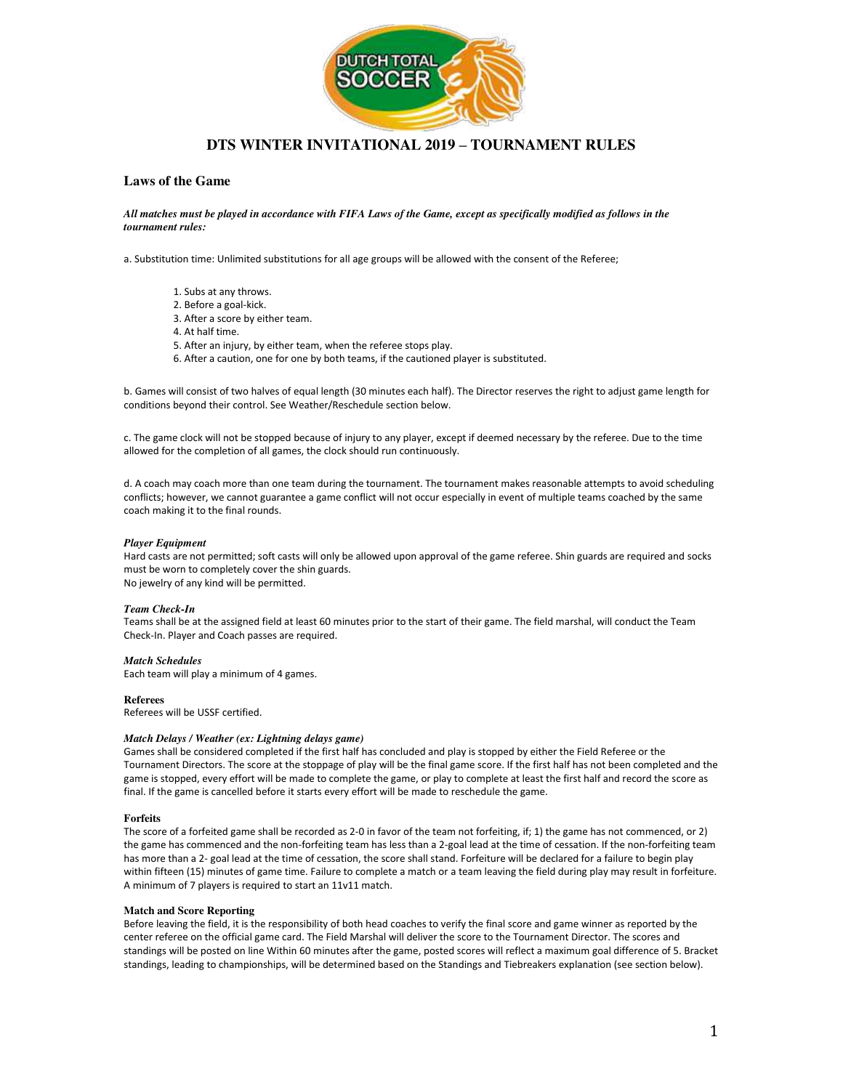

# **DTS WINTER INVITATIONAL 2019 – TOURNAMENT RULES**

# **Laws of the Game**

### *All matches must be played in accordance with FIFA Laws of the Game, except as specifically modified as follows in the tournament rules:*

a. Substitution time: Unlimited substitutions for all age groups will be allowed with the consent of the Referee;

- 1. Subs at any throws. 2. Before a goal-kick.
- 3. After a score by either team.
- 4. At half time.
- 5. After an injury, by either team, when the referee stops play.
- 6. After a caution, one for one by both teams, if the cautioned player is substituted.

b. Games will consist of two halves of equal length (30 minutes each half). The Director reserves the right to adjust game length for conditions beyond their control. See Weather/Reschedule section below.

c. The game clock will not be stopped because of injury to any player, except if deemed necessary by the referee. Due to the time allowed for the completion of all games, the clock should run continuously.

d. A coach may coach more than one team during the tournament. The tournament makes reasonable attempts to avoid scheduling conflicts; however, we cannot guarantee a game conflict will not occur especially in event of multiple teams coached by the same coach making it to the final rounds.

### *Player Equipment*

Hard casts are not permitted; soft casts will only be allowed upon approval of the game referee. Shin guards are required and socks must be worn to completely cover the shin guards. No jewelry of any kind will be permitted.

### *Team Check-In*

Teams shall be at the assigned field at least 60 minutes prior to the start of their game. The field marshal, will conduct the Team Check-In. Player and Coach passes are required.

### *Match Schedules*

Each team will play a minimum of 4 games.

### **Referees**

Referees will be USSF certified.

### *Match Delays / Weather (ex: Lightning delays game)*

Games shall be considered completed if the first half has concluded and play is stopped by either the Field Referee or the Tournament Directors. The score at the stoppage of play will be the final game score. If the first half has not been completed and the game is stopped, every effort will be made to complete the game, or play to complete at least the first half and record the score as final. If the game is cancelled before it starts every effort will be made to reschedule the game.

### **Forfeits**

The score of a forfeited game shall be recorded as 2-0 in favor of the team not forfeiting, if; 1) the game has not commenced, or 2) the game has commenced and the non-forfeiting team has less than a 2-goal lead at the time of cessation. If the non-forfeiting team has more than a 2- goal lead at the time of cessation, the score shall stand. Forfeiture will be declared for a failure to begin play within fifteen (15) minutes of game time. Failure to complete a match or a team leaving the field during play may result in forfeiture. A minimum of 7 players is required to start an 11v11 match.

#### **Match and Score Reporting**

Before leaving the field, it is the responsibility of both head coaches to verify the final score and game winner as reported by the center referee on the official game card. The Field Marshal will deliver the score to the Tournament Director. The scores and standings will be posted on line Within 60 minutes after the game, posted scores will reflect a maximum goal difference of 5. Bracket standings, leading to championships, will be determined based on the Standings and Tiebreakers explanation (see section below).